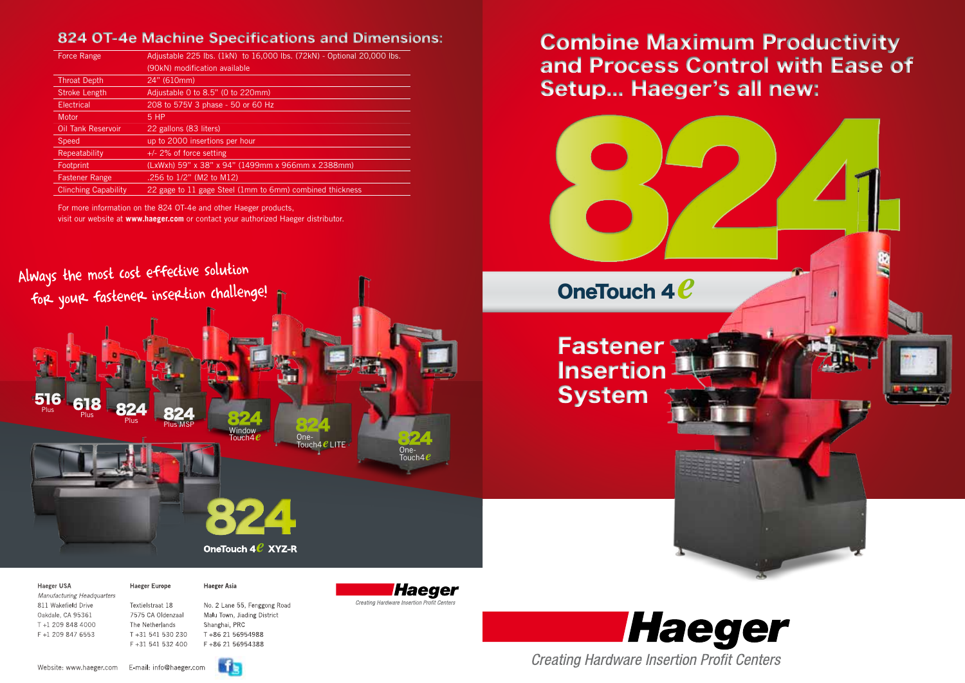*Manufacturing Headquarters* 811 Wakefield Drive Textielstraat 18 No. 2 Lane 55, Fenggong Road Oakdale, CA 95361 7575 CA Oldenzaal Malu Town, Jiading District T +1 209 848 4000 The Netherlands Shanghai, PRC F +1 209 847 6553 T +31 541 530 230 T +86 21 56954988

F +31 541 532 400 F +86 21 56954388



Haeger **Creating Hardware Insertion Profit Centers** 

| Force Range                 | Adjustable 225 lbs. (1kN) to 16,000 lbs. (72kN) - Optional 20,000 lbs. |
|-----------------------------|------------------------------------------------------------------------|
|                             | (90kN) modification available                                          |
| <b>Throat Depth</b>         | 24" (610mm)                                                            |
| <b>Stroke Length</b>        | Adjustable 0 to 8.5" (0 to 220mm)                                      |
| Electrical                  | 208 to 575V 3 phase - 50 or 60 Hz                                      |
| Motor                       | $5$ HP                                                                 |
| <b>Oil Tank Reservoir</b>   | 22 gallons (83 liters)                                                 |
| <b>Speed</b>                | up to 2000 insertions per hour                                         |
| Repeatability               | $+/-$ 2% of force setting                                              |
| Footprint                   | (LxWxh) 59" x 38" x 94" (1499mm x 966mm x 2388mm)                      |
| <b>Fastener Range</b>       | .256 to 1/2" (M2 to M12)                                               |
| <b>Clinching Capability</b> | 22 gage to 11 gage Steel (1mm to 6mm) combined thickness               |





### Haeger USA **Haeger Europe** Haeger Asia

For more information on the 824 OT-4e and other Haeger products, visit our website at **www.haeger.com** or contact your authorized Haeger distributor.

## 824 OT-4e Machine Specifications and Dimensions:







# Combine Maximum Productivity and Process Control with Ease of Setup... Haeger's all new: